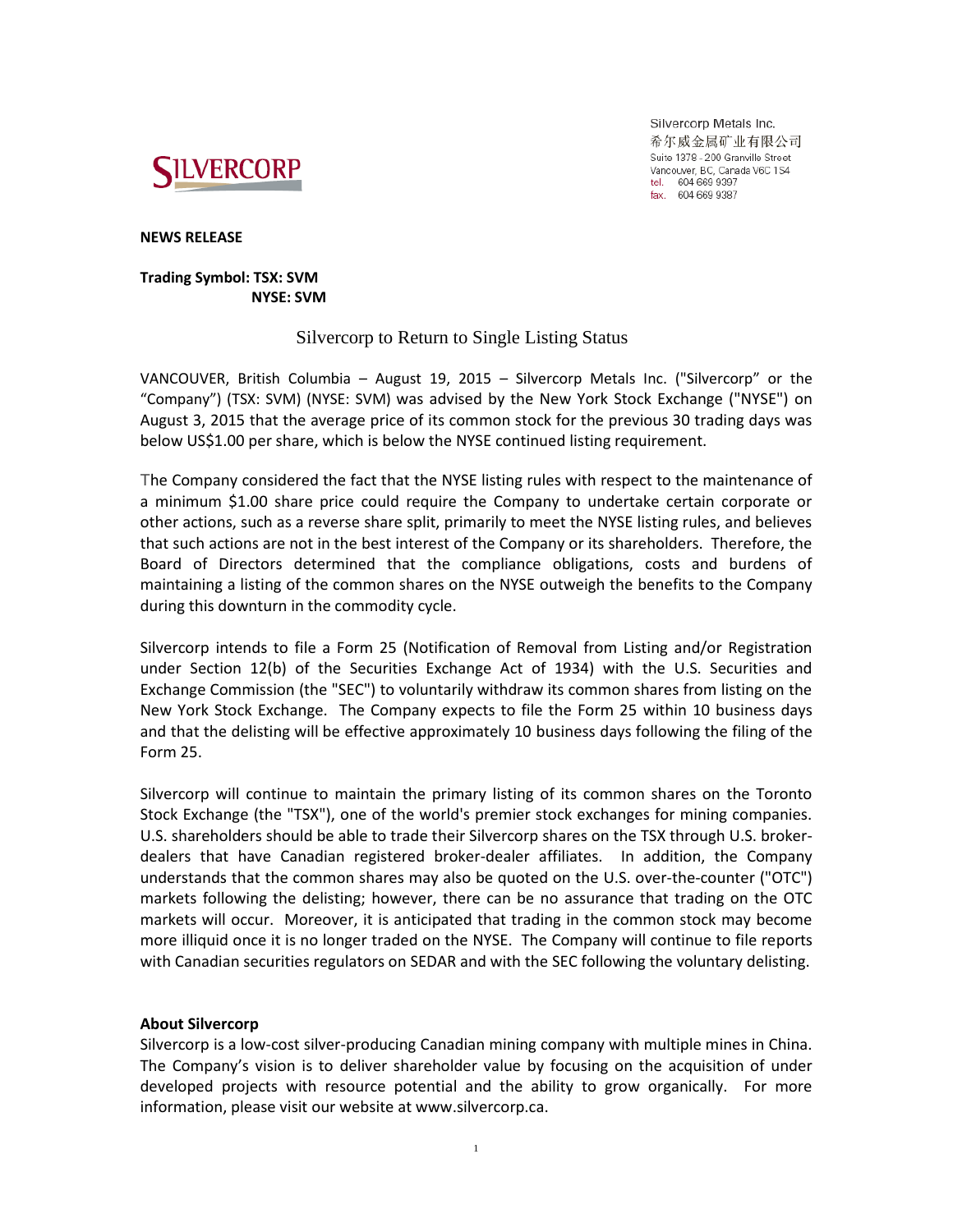

Silvercorp Metals Inc. 希尔威金属矿业有限公司 Suite 1378 - 200 Granville Street Vancouver, BC, Canada V6C 1S4 tel. 604 669 9397<br>fax. 604 669 9397

**NEWS RELEASE**

## **Trading Symbol: TSX: SVM NYSE: SVM**

## Silvercorp to Return to Single Listing Status

VANCOUVER, British Columbia – August 19, 2015 – Silvercorp Metals Inc. ("Silvercorp" or the "Company") (TSX: SVM) (NYSE: SVM) was advised by the New York Stock Exchange ("NYSE") on August 3, 2015 that the average price of its common stock for the previous 30 trading days was below US\$1.00 per share, which is below the NYSE continued listing requirement.

The Company considered the fact that the NYSE listing rules with respect to the maintenance of a minimum \$1.00 share price could require the Company to undertake certain corporate or other actions, such as a reverse share split, primarily to meet the NYSE listing rules, and believes that such actions are not in the best interest of the Company or its shareholders. Therefore, the Board of Directors determined that the compliance obligations, costs and burdens of maintaining a listing of the common shares on the NYSE outweigh the benefits to the Company during this downturn in the commodity cycle.

Silvercorp intends to file a Form 25 (Notification of Removal from Listing and/or Registration under Section 12(b) of the Securities Exchange Act of 1934) with the U.S. Securities and Exchange Commission (the "SEC") to voluntarily withdraw its common shares from listing on the New York Stock Exchange. The Company expects to file the Form 25 within 10 business days and that the delisting will be effective approximately 10 business days following the filing of the Form 25.

Silvercorp will continue to maintain the primary listing of its common shares on the Toronto Stock Exchange (the "TSX"), one of the world's premier stock exchanges for mining companies. U.S. shareholders should be able to trade their Silvercorp shares on the TSX through U.S. brokerdealers that have Canadian registered broker-dealer affiliates. In addition, the Company understands that the common shares may also be quoted on the U.S. over-the-counter ("OTC") markets following the delisting; however, there can be no assurance that trading on the OTC markets will occur. Moreover, it is anticipated that trading in the common stock may become more illiquid once it is no longer traded on the NYSE. The Company will continue to file reports with Canadian securities regulators on SEDAR and with the SEC following the voluntary delisting.

## **About Silvercorp**

Silvercorp is a low-cost silver-producing Canadian mining company with multiple mines in China. The Company's vision is to deliver shareholder value by focusing on the acquisition of under developed projects with resource potential and the ability to grow organically. For more information, please visit our website at www.silvercorp.ca.